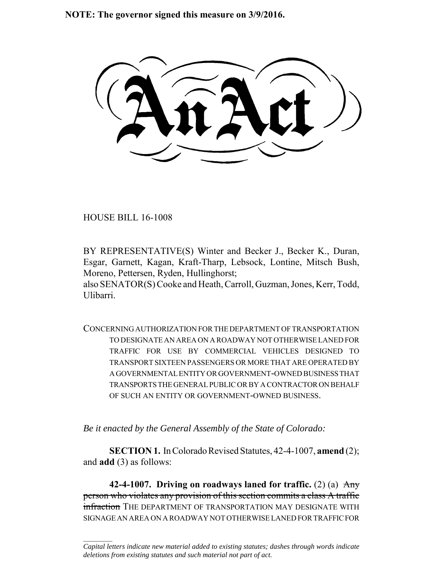**NOTE: The governor signed this measure on 3/9/2016.**

HOUSE BILL 16-1008

 $\frac{1}{2}$ 

BY REPRESENTATIVE(S) Winter and Becker J., Becker K., Duran, Esgar, Garnett, Kagan, Kraft-Tharp, Lebsock, Lontine, Mitsch Bush, Moreno, Pettersen, Ryden, Hullinghorst;

also SENATOR(S) Cooke and Heath, Carroll, Guzman, Jones, Kerr, Todd, Ulibarri.

CONCERNING AUTHORIZATION FOR THE DEPARTMENT OF TRANSPORTATION TO DESIGNATE AN AREA ON A ROADWAY NOT OTHERWISE LANED FOR TRAFFIC FOR USE BY COMMERCIAL VEHICLES DESIGNED TO TRANSPORT SIXTEEN PASSENGERS OR MORE THAT ARE OPERATED BY A GOVERNMENTAL ENTITY OR GOVERNMENT-OWNED BUSINESS THAT TRANSPORTS THE GENERAL PUBLIC OR BY A CONTRACTOR ON BEHALF OF SUCH AN ENTITY OR GOVERNMENT-OWNED BUSINESS.

*Be it enacted by the General Assembly of the State of Colorado:*

**SECTION 1.** In Colorado Revised Statutes, 42-4-1007, **amend** (2); and **add** (3) as follows:

**42-4-1007. Driving on roadways laned for traffic.** (2) (a) Any person who violates any provision of this section commits a class A traffic infraction THE DEPARTMENT OF TRANSPORTATION MAY DESIGNATE WITH SIGNAGE AN AREA ON A ROADWAY NOT OTHERWISE LANED FOR TRAFFIC FOR

*Capital letters indicate new material added to existing statutes; dashes through words indicate deletions from existing statutes and such material not part of act.*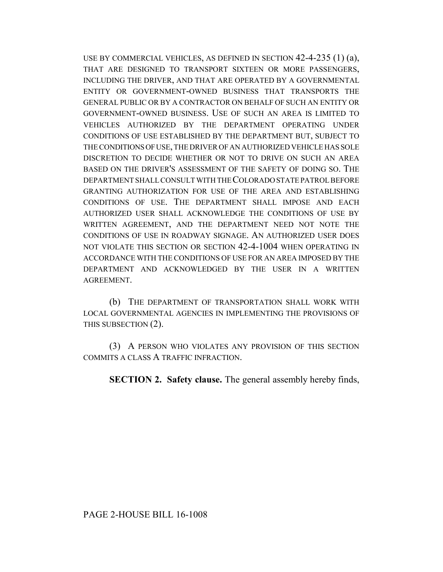USE BY COMMERCIAL VEHICLES, AS DEFINED IN SECTION 42-4-235 (1) (a), THAT ARE DESIGNED TO TRANSPORT SIXTEEN OR MORE PASSENGERS, INCLUDING THE DRIVER, AND THAT ARE OPERATED BY A GOVERNMENTAL ENTITY OR GOVERNMENT-OWNED BUSINESS THAT TRANSPORTS THE GENERAL PUBLIC OR BY A CONTRACTOR ON BEHALF OF SUCH AN ENTITY OR GOVERNMENT-OWNED BUSINESS. USE OF SUCH AN AREA IS LIMITED TO VEHICLES AUTHORIZED BY THE DEPARTMENT OPERATING UNDER CONDITIONS OF USE ESTABLISHED BY THE DEPARTMENT BUT, SUBJECT TO THE CONDITIONS OF USE, THE DRIVER OF AN AUTHORIZED VEHICLE HAS SOLE DISCRETION TO DECIDE WHETHER OR NOT TO DRIVE ON SUCH AN AREA BASED ON THE DRIVER'S ASSESSMENT OF THE SAFETY OF DOING SO. THE DEPARTMENT SHALL CONSULT WITH THE COLORADO STATE PATROL BEFORE GRANTING AUTHORIZATION FOR USE OF THE AREA AND ESTABLISHING CONDITIONS OF USE. THE DEPARTMENT SHALL IMPOSE AND EACH AUTHORIZED USER SHALL ACKNOWLEDGE THE CONDITIONS OF USE BY WRITTEN AGREEMENT, AND THE DEPARTMENT NEED NOT NOTE THE CONDITIONS OF USE IN ROADWAY SIGNAGE. AN AUTHORIZED USER DOES NOT VIOLATE THIS SECTION OR SECTION 42-4-1004 WHEN OPERATING IN ACCORDANCE WITH THE CONDITIONS OF USE FOR AN AREA IMPOSED BY THE DEPARTMENT AND ACKNOWLEDGED BY THE USER IN A WRITTEN AGREEMENT.

(b) THE DEPARTMENT OF TRANSPORTATION SHALL WORK WITH LOCAL GOVERNMENTAL AGENCIES IN IMPLEMENTING THE PROVISIONS OF THIS SUBSECTION (2).

(3) A PERSON WHO VIOLATES ANY PROVISION OF THIS SECTION COMMITS A CLASS A TRAFFIC INFRACTION.

**SECTION 2. Safety clause.** The general assembly hereby finds,